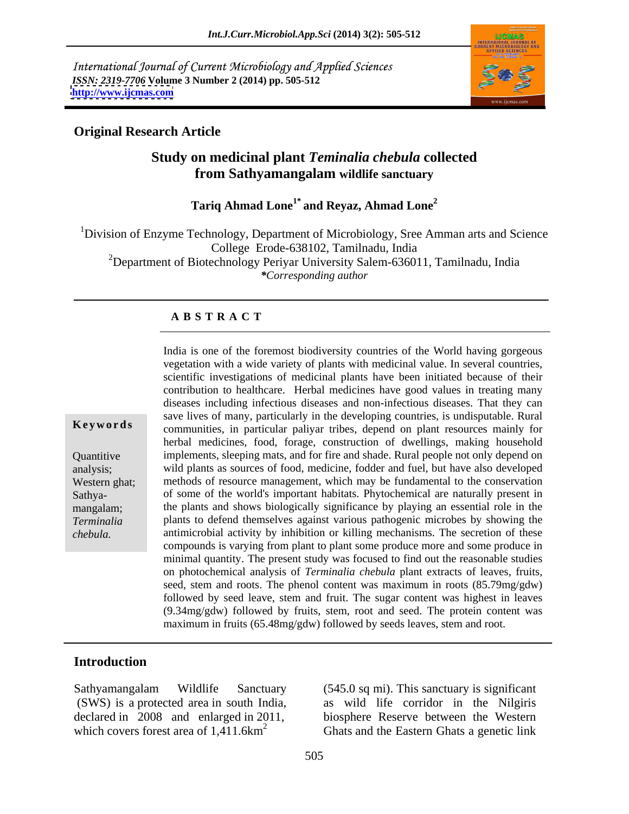International Journal of Current Microbiology and Applied Sciences *ISSN: 2319-7706* **Volume 3 Number 2 (2014) pp. 505-512 <http://www.ijcmas.com>**



### **Original Research Article**

# **Study on medicinal plant** *Teminalia chebula* **collected from Sathyamangalam wildlife sanctuary**

# **Tariq Ahmad Lone1\* and Reyaz, Ahmad Lone<sup>2</sup>**

<sup>1</sup>Division of Enzyme Technology, Department of Microbiology, Sree Amman arts and Science College Erode-638102, Tamilnadu, India <sup>2</sup>Department of Biotechnology Periyar University Salem-636011, Tamilnadu, India *\*Corresponding author*

### **A B S T R A C T**

**Keywords** communities, in particular paliyar tribes, depend on plant resources mainly for Quantitive implements, sleeping mats, and for fire and shade. Rural people not only depend on analysis; wild plants as sources of food, medicine, fodder and fuel, buthave also developed Western ghat; methods of resource management, which may be fundamental to the conservation Sathya- of some of the world's important habitats. Phytochemical are naturally present in mangalam; the plants and shows biologically significance by playing an essential role in the *Terminalia*  plants to defend themselves against various pathogenic microbes by showing the India is one of the foremost biodiversity countries of the World having gorgeous<br>vegetation with a wide variety of plants with medicinal value. In several countris,<br>scientific investigations of medicinal plants have been i vegetation with a wide variety of plants with medicinal value. In several countries, scientific investigations of medicinal plants have been initiated because of their contribution to healthcare. Herbal medicines have good values in treating many diseases including infectious diseases and non-infectious diseases. That they can save lives of many, particularly in the developing countries, is undisputable. Rural herbal medicines, food, forage, construction of dwellings, making household antimicrobial activity by inhibition or killing mechanisms. The secretion of these compounds is varying from plant to plant some produce more and some produce in minimal quantity. The present study was focused to find out the reasonable studies on photochemical analysis of *Terminalia chebula* plant extracts of leaves, fruits, seed, stem and roots. The phenol content was maximum in roots (85.79mg/gdw) followed by seed leave, stem and fruit. The sugar content was highest in leaves (9.34mg/gdw) followed by fruits, stem, root and seed. The protein content was maximum in fruits (65.48mg/gdw) followed by seeds leaves, stem and root.

### **Introduction**

Sathyamangalam Wildlife Sanctuary (545.0 sq mi). This sanctuary is significant which covers forest area of  $1,411.6 \text{km}^2$  Ghats and the Eastern Ghats a genetic link

(SWS) is a protected area in south India, as wild life corridor in the Nilgiris declared in 2008 and enlarged in 2011, biosphere Reserve between the Western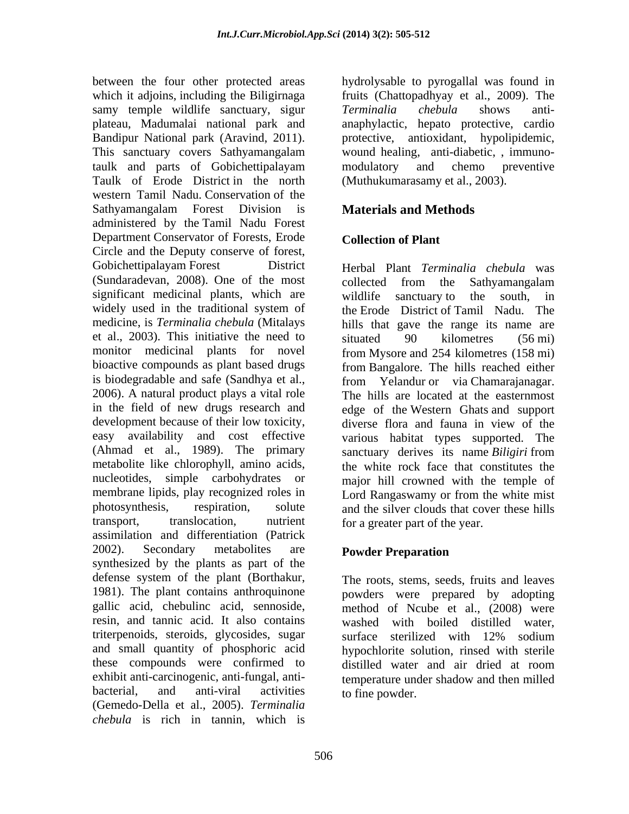between the four other protected areas hydrolysable to pyrogallal was found in which it adjoins, including the Biligirnaga samy temple wildlife sanctuary, sigur Terminalia chebula shows antiplateau, Madumalai national park and anaphylactic, hepato protective, cardio Bandipur National park (Aravind, 2011). This sanctuary covers Sathyamangalam taulk and parts of Gobichettipalayam Taulk of Erode District in the north western Tamil Nadu. Conservation of the Sathyamangalam Forest Division is **Materials and Methods** administered by the Tamil Nadu Forest Department Conservator of Forests, Erode Collection of Plant Circle and the Deputy conserve of forest, Gobichettipalayam Forest District Herbal Plant Terminalia chebula was (Sundaradevan, 2008). One of the most collected from the Sathyamangalam significant medicinal plants, which are wildlife sanctuary to the south, in widely used in the traditional system of the Erode District of Tamil Nadu. The medicine, is *Terminalia chebula* (Mitalays hills that gave the range its name are et al., 2003). This initiative the need to situated  $\frac{90}{90}$  kilometres (56 mi) monitor medicinal plants for novel bioactive compounds as plant based drugs is biodegradable and safe (Sandhya et al., from Yelandur or via Chamaraianagar. 2006). A natural product plays a vital role The hills are located at the easternmost in the field of new drugs research and development because of their low toxicity, diverse flora and fauna in view of the easy availability and cost effective various habitat types supported. The (Ahmad et al., 1989). The primary sanctuary derives its name *Biligiri* from metabolite like chlorophyll, amino acids, the white rock face that constitutes the nucleotides, simple carbohydrates or major hill crowned with the temple of membrane lipids, play recognized roles in Lord Rangaswamy or from the white mist photosynthesis, respiration, solute and the silver clouds that cover these hills transport, translocation, nutrient for a greater part of the year. assimilation and differentiation (Patrick 2002). Secondary metabolites are **Powder Preparation** synthesized by the plants as part of the defense system of the plant (Borthakur, The roots, stems, seeds, fruits and leaves 1981). The plant contains anthroquinone powders were prepared by adopting gallic acid, chebulinc acid, sennoside, method of Ncube et al., (2008) were resin, and tannic acid. It also contains washed with boiled distilled water, triterpenoids, steroids, glycosides, sugar surface sterilized with 12% sodium and small quantity of phosphoric acid hypochlorite solution, rinsed with sterile these compounds were confirmed to distilled water and air dried at room exhibit anti-carcinogenic, anti-fungal, anti- temperature under shadow and then milled bacterial, and anti-viral activities to fine powder. (Gemedo-Della et al., 2005). *Terminalia chebula* is rich in tannin, which is

fruits (Chattopadhyay et al., 2009). The *Terminalia chebula* shows anti protective, antioxidant, hypolipidemic, wound healing, anti-diabetic, , immuno modulatory and chemo preventive (Muthukumarasamy et al., 2003).

# **Materials and Methods**

# **Collection of Plant**

Herbal Plant *Terminalia chebula* was collected from the Sathyamangalam wildlife sanctuary to the south, in situated 90 kilometres (56 mi) from Mysore and 254 kilometres (158 mi) from Bangalore. The hills reached either from Yelandur or via Chamarajanagar. The hills are located at the easternmost edge of the Western Ghats and support

# **Powder Preparation**

surface sterilized with 12% sodium distilled water and air dried at room to fine powder.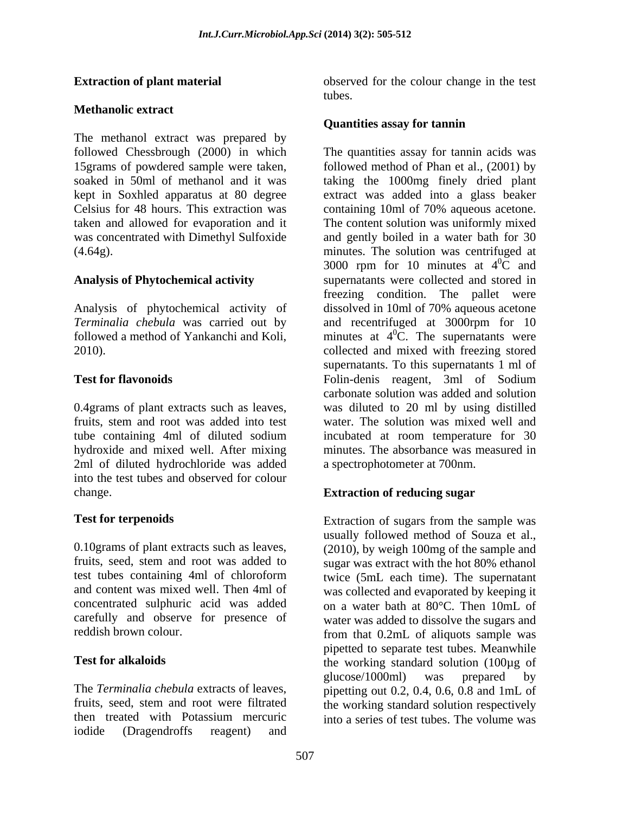### **Methanolic extract**

The methanol extract was prepared by followed Chessbrough (2000) in which Celsius for 48 hours. This extraction was containing 10ml of 70% aqueous acetone. was concentrated with Dimethyl Sulfoxide

Analysis of phytochemical activity of dissolved in 10ml of 70% aqueous acetone 2010).

hydroxide and mixed well. After mixing 2ml of diluted hydrochloride was added into the test tubes and observed for colour change. **Extraction of reducing sugar**

0.10grams of plant extracts such as leaves, (2010), by weigh 100mg of the sample and fruits, seed, stem and root was added to sugar was extract with the hot 80% ethanol test tubes containing 4ml of chloroform twice (5mL each time). The supernatant and content was mixed well. Then 4ml of was collected and evaporated by keeping it concentrated sulphuric acid was added carefully and observe for presence of water was added to dissolve the sugars and

The *Terminalia chebula* extracts of leaves, pipetting out 0.2, 0.4, 0.6, 0.8 and 1mL of fruits, seed, stem and root were filtrated the working standard solution respectively then treated with Potassium mercuric into a series of test tubes. The volume wasiodide (Dragendroffs reagent) and

**Extraction of plant material** observed for the colour change in the test tubes.

### **Quantities assay for tannin**

followed Chessbrough (2000) in which The quantities assay for tannin acids was<br>15grams of powdered sample were taken, followed method of Phan et al., (2001) by<br>soaked in 50ml of methanol and it was taking the 1000mg finely kept in Soxhled apparatus at 80 degree extract was added into a glass beaker taken and allowed for evaporation and it The content solution was uniformly mixed (4.64g). minutes. The solution was centrifuged at **Analysis of Phytochemical activity**  supernatants were collected and stored in *Terminalia chebula* was carried out by and recentrifuged at 3000rpm for 10 followed a method of Yankanchi and Koli, minutes at  $4^{\circ}$ C. The supernatants were **Test for flavonoids** Folin-denis reagent, 3ml of Sodium 0.4grams of plant extracts such as leaves, was diluted to 20 ml by using distilled fruits, stem and root was added into test water. The solution was mixed well and tube containing 4ml of diluted sodium incubated at room temperature for 30 The quantities assay for tannin acids was followed method of Phan et al., (2001) by taking the 1000mg finely dried plant containing 10ml of 70% aqueous acetone. and gently boiled in a water bath for 30 3000 rpm for 10 minutes at  $4^{\circ}$ C and  ${}^{0}C$  and freezing condition. The pallet were dissolved in 10ml of 70% aqueous acetone collected and mixed with freezing stored supernatants. To this supernatants 1 ml of Folin-denis reagent, 3ml of Sodium carbonate solution was added and solution minutes. The absorbance was measured in a spectrophotometer at 700nm.

**Test for terpenoids** Extraction of sugars from the sample was reddish brown colour. from that 0.2mL of aliquots sample was Test for alkaloids **the working standard solution** (100µg of usually followed method of Souza et al., (2010), by weigh 100mg of the sample and on a water bath at 80°C. Then 10mL of pipetted to separate test tubes. Meanwhile glucose/1000ml) was prepared by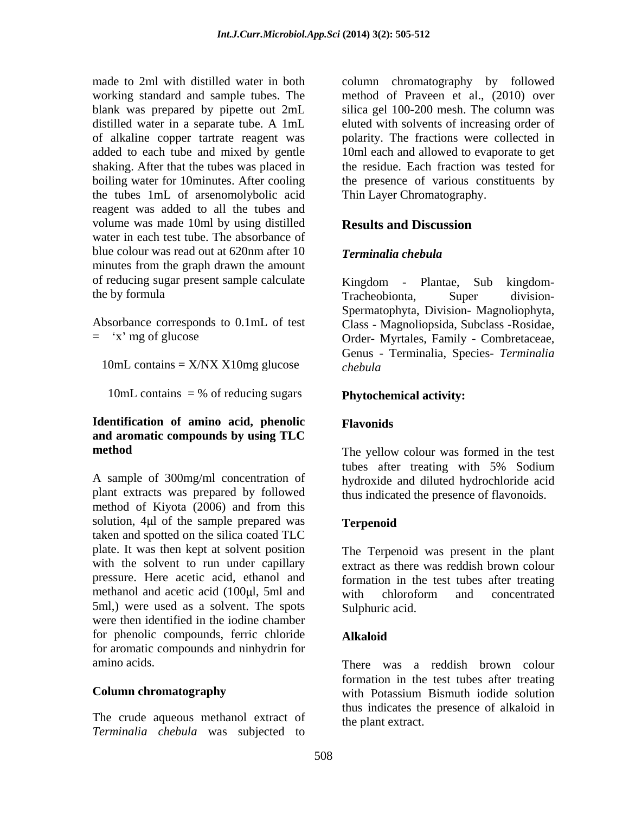blank was prepared by pipette out 2mL boiling water for 10minutes. After cooling the tubes 1mL of arsenomolybolic acid reagent was added to all the tubes and volume was made 10ml by using distilled **Results and Discussion** water in each test tube. The absorbance of blue colour was read out at 620nm after 10 minutes from the graph drawn the amount of reducing sugar present sample calculate Kingdom - Plantae, Sub kingdomthe by formula Tracheobionta, Super division-

10mL contains  $=$  X/NX X10mg glucose *chebula* 

10mL contains  $=$  % of reducing sugars

# **Identification of amino acid, phenolic and aromatic compounds by using TLC**

A sample of 300mg/ml concentration of plant extracts was prepared by followed thus indicated the presence of flavonoids. method of Kiyota (2006) and from this solution, 4µl of the sample prepared was Terpenoid taken and spotted on the silica coated TLC plate. It was then kept at solvent position with the solvent to run under capillary extract as there was reddish brown colour pressure. Here acetic acid, ethanol and formation in the test tubes after treating methanol and acetic acid (100µl, 5ml and with chloroform and concentrated 5ml,) were used as a solvent. The spots were then identified in the iodine chamber for phenolic compounds, ferric chloride **Alkaloid** for aromatic compounds and ninhydrin for

The crude aqueous methanol extract of *Terminalia chebula* was subjected to

made to 2ml with distilled water in both column chromatography by followed working standard and sample tubes. The method of Praveen et al., (2010) over distilled water in a separate tube. A 1mL eluted with solvents of increasing order of of alkaline copper tartrate reagent was polarity. The fractions were collected in added to each tube and mixed by gentle 10ml each and allowed to evaporate to get shaking. After that the tubes was placed in the residue. Each fraction was tested for silica gel 100-200 mesh. The column was the presence of various constituents by Thin Layer Chromatography.

# **Results and Discussion**

# *Terminalia chebula*

Absorbance corresponds to 0.1mL of test Class - Magnoliopsida, Subclass -Rosidae, = x mg of glucose Order- Myrtales, Family - Combretaceae, Kingdom - Plantae, Sub kingdom- Tracheobionta, Super division- Spermatophyta, Division- Magnoliophyta, Genus - Terminalia, Species- *Terminalia chebula*

# **Phytochemical activity:**

# **Flavonids**

**method**  The yellow colour was formed in the test tubes after treating with 5% Sodium hydroxide and diluted hydrochloride acid

# **Terpenoid**

The Terpenoid was present in the plant with chloroform and concentrated Sulphuric acid.

# **Alkaloid**

amino acids. There was a reddish brown colour **Column chromatography** with Potassium Bismuth iodide solution formation in the test tubes after treating thus indicates the presence of alkaloid in the plant extract.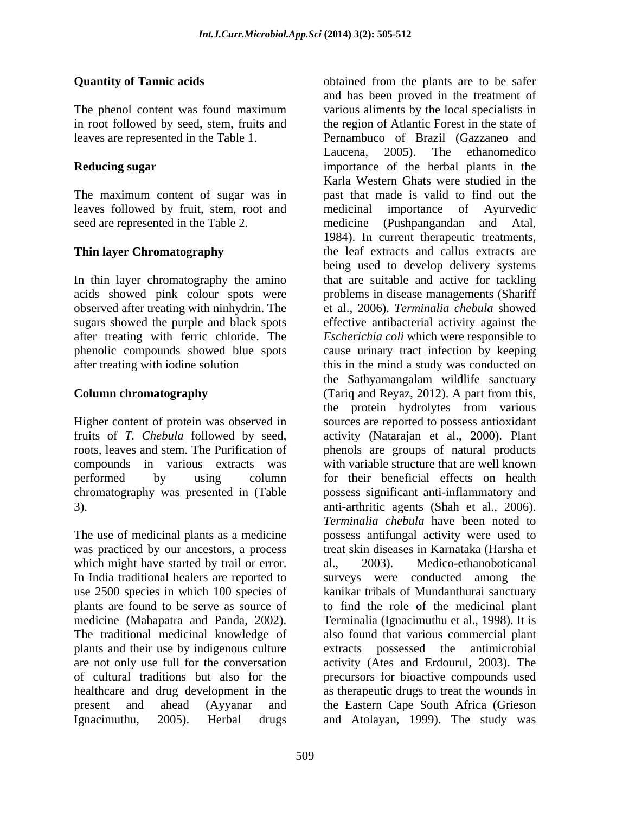# **Quantity of Tannic acids be a constructed** obtained from the plants are to be safer

The maximum content of sugar was in leaves followed by fruit, stem, root and medicinal importance of Ayurvedic seed are represented in the Table 2. The medicine (Pushpangandan and Atal,

In thin layer chromatography the amino observed after treating with ninhydrin. The

The use of medicinal plants as a medicine was practiced by our ancestors, a process which might have started by trail or error. al., 2003). plants and their use by indigenous culture healthcare and drug development in the

The phenol content was found maximum various aliments by the local specialists in in root followed by seed, stem, fruits and the region of Atlantic Forest in the state of leaves are represented in the Table 1. Pernambuco of Brazil (Gazzaneo and **Reducing sugar** importance of the herbal plants in the **Thin layer Chromatography** the leaf extracts and callus extracts are acids showed pink colour spots were problems in disease managements (Shariff sugars showed the purple and black spots effective antibacterial activity against the after treating with ferric chloride. The *Escherichia coli* which were responsible to phenolic compounds showed blue spots cause urinary tract infection by keeping after treating with iodine solution this in the mind a study was conducted on **Column chromatography** (Tariq and Reyaz, 2012). A part from this, Higher content of protein was observed in sources are reported to possess antioxidant fruits of *T. Chebula* followed by seed, activity (Natarajan et al., 2000). Plant roots, leaves and stem. The Purification of phenols are groups of natural products compounds in various extracts was with variable structure that are well known performed by using column for their beneficial effects on health chromatography was presented in (Table possess significant anti-inflammatory and 3). anti-arthritic agents (Shah et al., 2006). In India traditional healers are reported to surveys were conducted among the use 2500 species in which 100 species of kanikar tribals of Mundanthurai sanctuary plants are found to be serve as source of to find the role of the medicinal plant medicine (Mahapatra and Panda, 2002). Terminalia (Ignacimuthu et al., 1998). It is<br>The traditional medicinal knowledge of also found that various commercial plant are not only use full for the conversation activity (Ates and Erdourul, 2003). The of cultural traditions but also for the precursors for bioactive compounds used present and ahead (Ayyanar and the Eastern Cape South Africa (Grieson Ignacimuthu, 2005). Herbal drugs and Atolayan, 1999). The study wasand has been proved in the treatment of various aliments by the local specialists in Laucena, 2005). The ethanomedico Karla Western Ghats were studied in the past that made is valid to find out the medicinal importance of Ayurvedic medicine (Pushpangandan and Atal, 1984). In current therapeutic treatments, being used to develop delivery systems that are suitable and active for tackling et al., 2006). *Terminalia chebula* showed the Sathyamangalam wildlife sanctuary the protein hydrolytes from various *Terminalia chebula* have been noted to possess antifungal activity were used to treat skin diseases in Karnataka (Harsha et Medico-ethanoboticanal Terminalia (Ignacimuthu et al., 1998). It is also found that various commercial plant possessed the antimicrobial as therapeutic drugs to treat the wounds in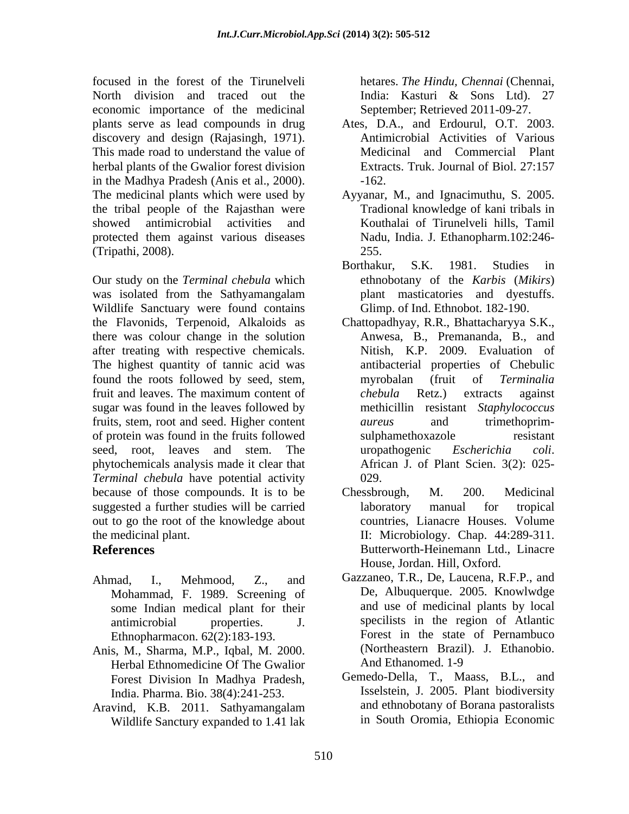focused in the forest of the Tirunelveli North division and traced out the India: Kasturi & Sons Ltd). 27 economic importance of the medicinal plants serve as lead compounds in drug Ates, D.A., and Erdourul, O.T. 2003. discovery and design (Rajasingh, 1971). Antimicrobial Activities of Various<br>This made road to understand the value of Medicinal and Commercial Plant herbal plants of the Gwalior forest division Extracts. Truk. Journal of Biol. 27:157 in the Madhya Pradesh (Anis et al., 2000).  $\qquad \qquad$  -162.<br>The medicinal plants which were used by Ayyanar, M., and Ignacimuthu, S. 2005. the tribal people of the Rajasthan were showed antimicrobial activities and Kouthalai of Tirunelveli hills, Tamil protected them against various diseases

was isolated from the Sathyamangalam Wildlife Sanctuary were found contains the Flavonids, Terpenoid, Alkaloids as Chattopadhyay, R.R., Bhattacharyya S.K., there was colour change in the solution after treating with respective chemicals. The highest quantity of tannic acid was found the roots followed by seed, stem, myrobalan (fruit of Terminalia fruit and leaves. The maximum content of *chebula* Retz.) extracts against sugar was found in the leaves followed by fruits, stem, root and seed. Higher content aureus and trimethoprimof protein was found in the fruits followed seed, root, leaves and stem. The veroper unconstructure *Escherichia coli.* phytochemicals analysis made it clear that *Terminal chebula* have potential activity because of those compounds. It is to be Chessbrough, M. 200. Medicinal suggested a further studies will be carried a laboratory manual for tropical out to go the root of the knowledge about

- Mohammad, F. 1989. Screening of some Indian medical plant for their Ethnopharmacon. 62(2):183-193.
- Anis, M., Sharma, M.P., Iqbal, M. 2000. (Northeastern Brazil)<br>Herbal Ethnomedicine Of The Gwalior And Ethanomed. 1-9 Herbal Ethnomedicine Of The Gwalior Forest Division In Madhya Pradesh, India. Pharma. Bio. 38(4):241-253.
- Wildlife Sanctury expanded to 1.41 lak

hetares. *The Hindu, Chennai* (Chennai, India: Kasturi & Sons Ltd). 27 September; Retrieved 2011-09-27.

- Antimicrobial Activities of Various Medicinal and Commercial Plant Extracts. Truk. Journal of Biol. 27:157 -162.
- Ayyanar, M., and Ignacimuthu, S. 2005. Tradional knowledge of kani tribals in Nadu, India. J. Ethanopharm.102:246- 255.
- (Tripathi, 2008).<br>
Our study on the *Terminal chebula* which **Example 255.**<br>
Our study on the *Terminal chebula* which the *S.K.* 1981. Studies in the *Karbis* (*Mikirs*) Borthakur, S.K. 1981. Studies in ethnobotany of the *Karbis* (*Mikirs*) plant masticatories and dyestuffs. Glimp. of Ind. Ethnobot. 182-190.
	- Anwesa, B., Premananda, B., and Nitish, K.P. 2009. Evaluation of antibacterial properties of Chebulic myrobalan (fruit of *Terminalia chebula* Retz.) extracts against methicillin resistant *Staphylococcus aureus* and trimethoprim sulphamethoxazole resistant uropathogenic *Escherichia coli*. African J. of Plant Scien. 3(2): 025- 029.
- the medicinal plant. II: Microbiology. Chap. 44:289-311. **References** Butterworth-Heinemann Ltd., Linacre Chessbrough, M. 200. Medicinal laboratory manual for tropical countries, Lianacre Houses. Volume House, Jordan. Hill, Oxford.
- Ahmad, I., Mehmood, Z., and Gazzaneo, T.R., De, Laucena, R.F.P., and antimicrobial properties. J. specilists in the region of Atlantic De, Albuquerque. 2005. Knowlwdge and use of medicinal plants by local Forest in the state of Pernambuco (Northeastern Brazil). J. Ethanobio. And Ethanomed. 1-9
- Aravind, K.B. 2011. Sathyamangalam Gemedo-Della, T., Maass, B.L., and Isselstein, J. 2005. Plant biodiversity and ethnobotany of Borana pastoralists in South Oromia, Ethiopia Economic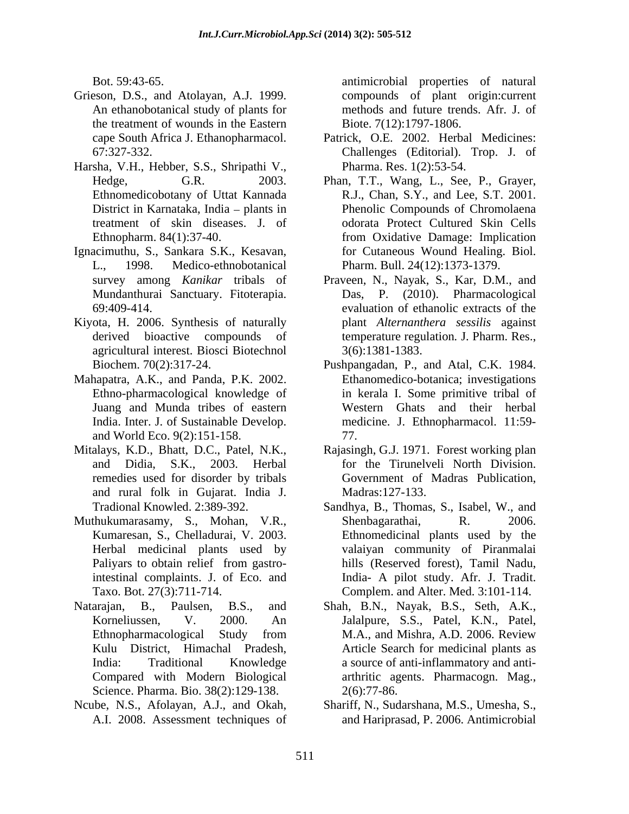- Grieson, D.S., and Atolayan, A.J. 1999. An ethanobotanical study of plants for the treatment of wounds in the Eastern
- Harsha, V.H., Hebber, S.S., Shripathi V.,
- Ignacimuthu, S., Sankara S.K., Kesavan,
- Kiyota, H. 2006. Synthesis of naturally agricultural interest. Biosci Biotechnol
- Mahapatra, A.K., and Panda, P.K. 2002. Ethno-pharmacological knowledge of and World Eco. 9(2):151-158.
- Mitalays, K.D., Bhatt, D.C., Patel, N.K., Rajasingh, G.J. 1971. Forest working plan remedies used for disorder by tribals and rural folk in Gujarat. India J.
- Muthukumarasamy, S., Mohan, V.R.,
- Natarajan, B., Paulsen, B.S., and Shah, B.N., Nayak, B.S., Seth, A.K., Science. Pharma. Bio. 38(2):129-138. 2(6):77-86.
- Ncube, N.S., Afolayan, A.J., and Okah,

Bot. 59:43-65. antimicrobial properties of natural compounds of plant origin:current methods and future trends. Afr. J. of Biote. 7(12):1797-1806.

- cape South Africa J. Ethanopharmacol. Patrick, O.E. 2002. Herbal Medicines: 67:327-332. Challenges (Editorial). Trop. J. of Pharma. Res. 1(2):53-54.
- Hedge, G.R. 2003. Phan, T.T., Wang, L., See, P., Grayer, Ethnomedicobotany of Uttat Kannada R.J., Chan, S.Y., and Lee, S.T. 2001. District in Karnataka, India plants in Phenolic Compounds of Chromolaena treatment of skin diseases. J. of odorata Protect Cultured Skin Cells Ethnopharm. 84(1):37-40. from Oxidative Damage: Implication L., 1998. Medico-ethnobotanical Pharm. Bull. 24(12):1373-1379. for Cutaneous Wound Healing. Biol.
- survey among *Kanikar* tribals of Praveen, N., Nayak, S., Kar, D.M., and Mundanthurai Sanctuary. Fitoterapia. Das, P. (2010). Pharmacological 69:409-414. evaluation of ethanolic extracts of the derived bioactive compounds of temperature regulation*.* J. Pharm. Res., plant *Alternanthera sessilis* against 3(6):1381-1383.
- Biochem. 70(2):317-24. Pushpangadan, P., and Atal, C.K. 1984. Juang and Munda tribes of eastern Western Ghats and their herbal India. Inter. J. of Sustainable Develop. medicine. J. Ethnopharmacol. 11:59- Ethanomedico-botanica; investigations in kerala I. Some primitive tribal of 77.
- and Didia, S.K., 2003. Herbal for the Tirunelveli North Division. Government of Madras Publication, Madras:127-133.
- Tradional Knowled. 2:389-392. Sandhya, B., Thomas, S., Isabel, W., and Kumaresan, S., Chelladurai, V. 2003. Ethnomedicinal plants used by the Herbal medicinal plants used by valaiyan community of Piranmalai Paliyars to obtain relief from gastro-<br>hills (Reserved forest), Tamil Nadu, intestinal complaints. J. of Eco. and India- A pilot study. Afr. J. Tradit. Taxo. Bot. 27(3):711-714. Complem. and Alter. Med. 3:101-114. Shenbagarathai, R. 2006. hills (Reserved forest), Tamil Nadu,
- Korneliussen, V. 2000. An Jalalpure, S.S., Patel, K.N., Patel, Ethnopharmacological Study from M.A., and Mishra, A.D. 2006. Review Kulu District, Himachal Pradesh, Article Search for medicinal plants as India: Traditional Knowledge a source of anti-inflammatory and anti- Compared with Modern Biological arthritic agents. Pharmacogn. Mag., M.A., and Mishra, A.D. 2006. Review  $2(6)$ :77-86.
- A.I. 2008. Assessment techniques of and Hariprasad, P. 2006. Antimicrobial Shariff, N., Sudarshana, M.S., Umesha, S.,